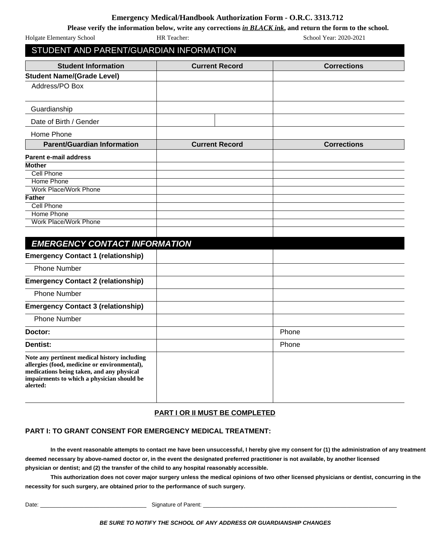## **Emergency Medical/Handbook Authorization Form - O.R.C. 3313.712**

|                                                                                                                                                                                         |                       | Please verify the information below, write any corrections in BLACK ink, and return the form to the school. |
|-----------------------------------------------------------------------------------------------------------------------------------------------------------------------------------------|-----------------------|-------------------------------------------------------------------------------------------------------------|
| Holgate Elementary School                                                                                                                                                               | HR Teacher:           | School Year: 2020-2021                                                                                      |
| STUDENT AND PARENT/GUARDIAN INFORMATION                                                                                                                                                 |                       |                                                                                                             |
| <b>Student Information</b>                                                                                                                                                              | <b>Current Record</b> | <b>Corrections</b>                                                                                          |
| <b>Student Name/(Grade Level)</b>                                                                                                                                                       |                       |                                                                                                             |
| Address/PO Box                                                                                                                                                                          |                       |                                                                                                             |
| Guardianship                                                                                                                                                                            |                       |                                                                                                             |
| Date of Birth / Gender                                                                                                                                                                  |                       |                                                                                                             |
| Home Phone                                                                                                                                                                              |                       |                                                                                                             |
| <b>Parent/Guardian Information</b>                                                                                                                                                      | <b>Current Record</b> | <b>Corrections</b>                                                                                          |
| <b>Parent e-mail address</b>                                                                                                                                                            |                       |                                                                                                             |
| <b>Mother</b>                                                                                                                                                                           |                       |                                                                                                             |
| Cell Phone                                                                                                                                                                              |                       |                                                                                                             |
| <b>Home Phone</b>                                                                                                                                                                       |                       |                                                                                                             |
| Work Place/Work Phone                                                                                                                                                                   |                       |                                                                                                             |
| <b>Father</b>                                                                                                                                                                           |                       |                                                                                                             |
| Cell Phone                                                                                                                                                                              |                       |                                                                                                             |
| <b>Home Phone</b>                                                                                                                                                                       |                       |                                                                                                             |
| <b>Work Place/Work Phone</b>                                                                                                                                                            |                       |                                                                                                             |
| <b>EMERGENCY CONTACT INFORMATION</b>                                                                                                                                                    |                       |                                                                                                             |
| <b>Emergency Contact 1 (relationship)</b>                                                                                                                                               |                       |                                                                                                             |
| <b>Phone Number</b>                                                                                                                                                                     |                       |                                                                                                             |
| <b>Emergency Contact 2 (relationship)</b>                                                                                                                                               |                       |                                                                                                             |
| <b>Phone Number</b>                                                                                                                                                                     |                       |                                                                                                             |
| <b>Emergency Contact 3 (relationship)</b>                                                                                                                                               |                       |                                                                                                             |
| <b>Phone Number</b>                                                                                                                                                                     |                       |                                                                                                             |
| Doctor:                                                                                                                                                                                 |                       | Phone                                                                                                       |
| <b>Dentist:</b>                                                                                                                                                                         |                       | Phone                                                                                                       |
| Note any pertinent medical history including<br>allergies (food, medicine or environmental),<br>medications being taken, and any physical<br>impairments to which a physician should be |                       |                                                                                                             |

### **PART I OR II MUST BE COMPLETED**

### **PART I: TO GRANT CONSENT FOR EMERGENCY MEDICAL TREATMENT:**

**In the event reasonable attempts to contact me have been unsuccessful, I hereby give my consent for (1) the administration of any treatment deemed necessary by above-named doctor or, in the event the designated preferred practitioner is not available, by another licensed physician or dentist; and (2) the transfer of the child to any hospital reasonably accessible.** 

**This authorization does not cover major surgery unless the medical opinions of two other licensed physicians or dentist, concurring in the necessity for such surgery, are obtained prior to the performance of such surgery.**

**alerted:** 

Date: \_\_\_\_\_\_\_\_\_\_\_\_\_\_\_\_\_\_\_\_\_\_\_\_\_\_\_\_\_\_\_\_\_\_ Signature of Parent: \_\_\_\_\_\_\_\_\_\_\_\_\_\_\_\_\_\_\_\_\_\_\_\_\_\_\_\_\_\_\_\_\_\_\_\_\_\_\_\_\_\_\_\_\_\_\_\_\_\_\_\_\_\_\_\_\_\_\_\_\_\_

**BE SURE TO NOTIFY THE SCHOOL OF ANY ADDRESS OR GUARDIANSHIP CHANGES**